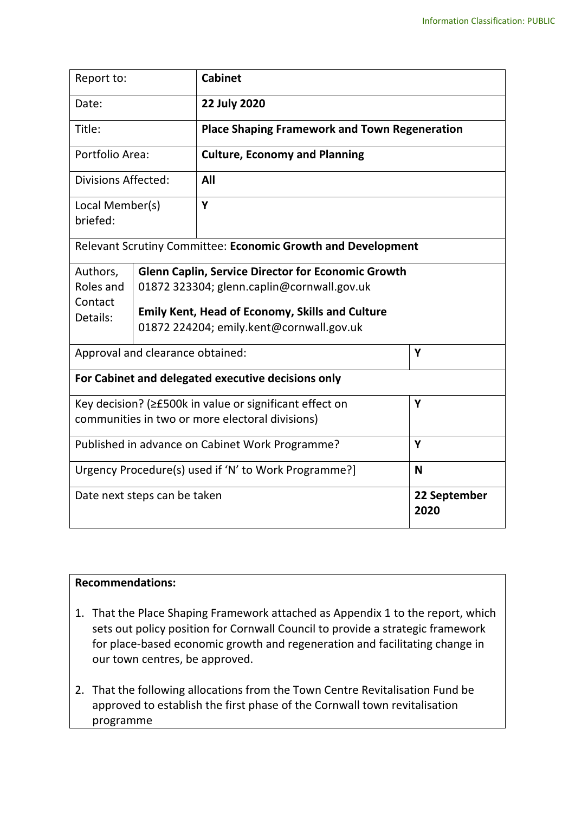| Report to:                                                                                                 |  | <b>Cabinet</b>                                                                                                                                                                                                |                      |  |
|------------------------------------------------------------------------------------------------------------|--|---------------------------------------------------------------------------------------------------------------------------------------------------------------------------------------------------------------|----------------------|--|
| Date:                                                                                                      |  | 22 July 2020                                                                                                                                                                                                  |                      |  |
| Title:                                                                                                     |  | <b>Place Shaping Framework and Town Regeneration</b>                                                                                                                                                          |                      |  |
| Portfolio Area:                                                                                            |  | <b>Culture, Economy and Planning</b>                                                                                                                                                                          |                      |  |
| <b>Divisions Affected:</b>                                                                                 |  | All                                                                                                                                                                                                           |                      |  |
| Local Member(s)<br>briefed:                                                                                |  | Y                                                                                                                                                                                                             |                      |  |
|                                                                                                            |  | Relevant Scrutiny Committee: Economic Growth and Development                                                                                                                                                  |                      |  |
| Authors,<br>Roles and<br>Contact<br>Details:                                                               |  | <b>Glenn Caplin, Service Director for Economic Growth</b><br>01872 323304; glenn.caplin@cornwall.gov.uk<br><b>Emily Kent, Head of Economy, Skills and Culture</b><br>01872 224204; emily.kent@cornwall.gov.uk |                      |  |
| Approval and clearance obtained:                                                                           |  | Y                                                                                                                                                                                                             |                      |  |
| For Cabinet and delegated executive decisions only                                                         |  |                                                                                                                                                                                                               |                      |  |
| Key decision? (≥£500k in value or significant effect on<br>communities in two or more electoral divisions) |  |                                                                                                                                                                                                               | Y                    |  |
| Published in advance on Cabinet Work Programme?                                                            |  |                                                                                                                                                                                                               | Y                    |  |
| Urgency Procedure(s) used if 'N' to Work Programme?]                                                       |  |                                                                                                                                                                                                               | N                    |  |
| Date next steps can be taken                                                                               |  |                                                                                                                                                                                                               | 22 September<br>2020 |  |

## **Recommendations:**

- 1. That the Place Shaping Framework attached as Appendix 1 to the report, which sets out policy position for Cornwall Council to provide a strategic framework for place-based economic growth and regeneration and facilitating change in our town centres, be approved.
- 2. That the following allocations from the Town Centre Revitalisation Fund be approved to establish the first phase of the Cornwall town revitalisation programme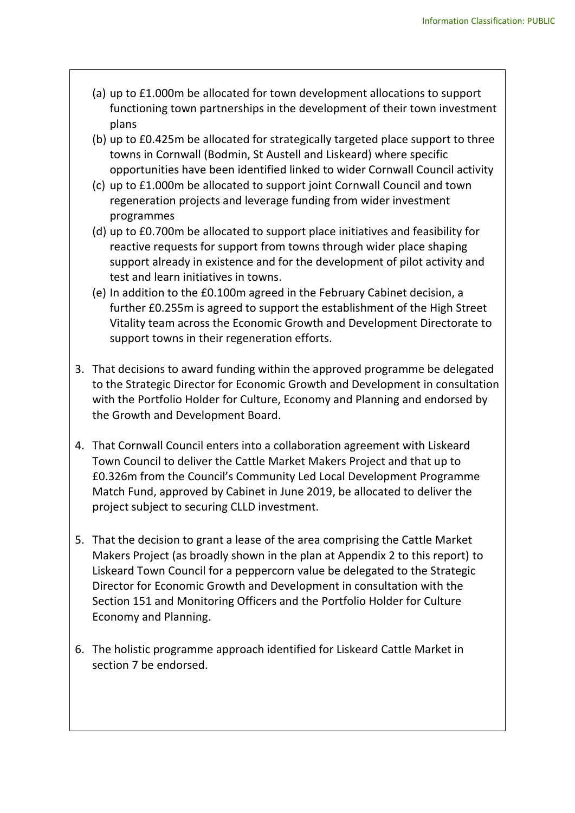- (a) up to £1.000m be allocated for town development allocations to support functioning town partnerships in the development of their town investment plans
- (b) up to £0.425m be allocated for strategically targeted place support to three towns in Cornwall (Bodmin, St Austell and Liskeard) where specific opportunities have been identified linked to wider Cornwall Council activity
- (c) up to £1.000m be allocated to support joint Cornwall Council and town regeneration projects and leverage funding from wider investment programmes
- (d) up to £0.700m be allocated to support place initiatives and feasibility for reactive requests for support from towns through wider place shaping support already in existence and for the development of pilot activity and test and learn initiatives in towns.
- (e) In addition to the £0.100m agreed in the February Cabinet decision, a further £0.255m is agreed to support the establishment of the High Street Vitality team across the Economic Growth and Development Directorate to support towns in their regeneration efforts.
- 3. That decisions to award funding within the approved programme be delegated to the Strategic Director for Economic Growth and Development in consultation with the Portfolio Holder for Culture, Economy and Planning and endorsed by the Growth and Development Board.
- 4. That Cornwall Council enters into a collaboration agreement with Liskeard Town Council to deliver the Cattle Market Makers Project and that up to £0.326m from the Council's Community Led Local Development Programme Match Fund, approved by Cabinet in June 2019, be allocated to deliver the project subject to securing CLLD investment.
- 5. That the decision to grant a lease of the area comprising the Cattle Market Makers Project (as broadly shown in the plan at Appendix 2 to this report) to Liskeard Town Council for a peppercorn value be delegated to the Strategic Director for Economic Growth and Development in consultation with the Section 151 and Monitoring Officers and the Portfolio Holder for Culture Economy and Planning.
- 6. The holistic programme approach identified for Liskeard Cattle Market in section 7 be endorsed.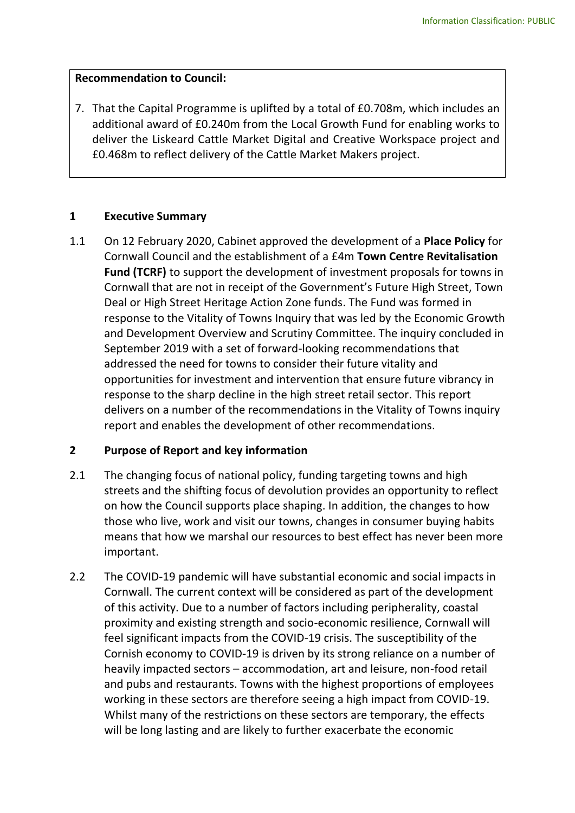## **Recommendation to Council:**

7. That the Capital Programme is uplifted by a total of £0.708m, which includes an additional award of £0.240m from the Local Growth Fund for enabling works to deliver the Liskeard Cattle Market Digital and Creative Workspace project and £0.468m to reflect delivery of the Cattle Market Makers project.

## **1 Executive Summary**

1.1 On 12 February 2020, Cabinet approved the development of a **Place Policy** for Cornwall Council and the establishment of a £4m **Town Centre Revitalisation Fund (TCRF)** to support the development of investment proposals for towns in Cornwall that are not in receipt of the Government's Future High Street, Town Deal or High Street Heritage Action Zone funds. The Fund was formed in response to the Vitality of Towns Inquiry that was led by the Economic Growth and Development Overview and Scrutiny Committee. The inquiry concluded in September 2019 with a set of forward-looking recommendations that addressed the need for towns to consider their future vitality and opportunities for investment and intervention that ensure future vibrancy in response to the sharp decline in the high street retail sector. This report delivers on a number of the recommendations in the Vitality of Towns inquiry report and enables the development of other recommendations.

## **2 Purpose of Report and key information**

- 2.1 The changing focus of national policy, funding targeting towns and high streets and the shifting focus of devolution provides an opportunity to reflect on how the Council supports place shaping. In addition, the changes to how those who live, work and visit our towns, changes in consumer buying habits means that how we marshal our resources to best effect has never been more important.
- 2.2 The COVID-19 pandemic will have substantial economic and social impacts in Cornwall. The current context will be considered as part of the development of this activity. Due to a number of factors including peripherality, coastal proximity and existing strength and socio-economic resilience, Cornwall will feel significant impacts from the COVID-19 crisis. The susceptibility of the Cornish economy to COVID-19 is driven by its strong reliance on a number of heavily impacted sectors – accommodation, art and leisure, non-food retail and pubs and restaurants. Towns with the highest proportions of employees working in these sectors are therefore seeing a high impact from COVID-19. Whilst many of the restrictions on these sectors are temporary, the effects will be long lasting and are likely to further exacerbate the economic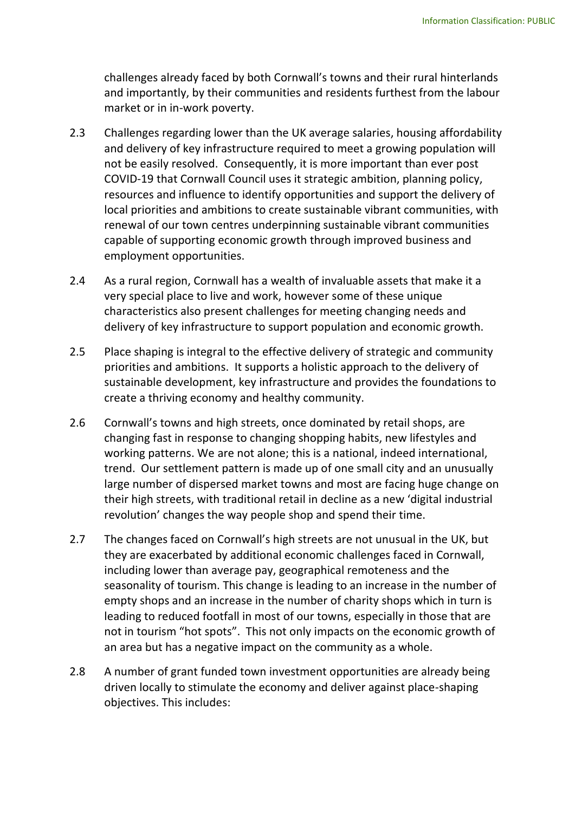challenges already faced by both Cornwall's towns and their rural hinterlands and importantly, by their communities and residents furthest from the labour market or in in-work poverty.

- 2.3 Challenges regarding lower than the UK average salaries, housing affordability and delivery of key infrastructure required to meet a growing population will not be easily resolved. Consequently, it is more important than ever post COVID-19 that Cornwall Council uses it strategic ambition, planning policy, resources and influence to identify opportunities and support the delivery of local priorities and ambitions to create sustainable vibrant communities, with renewal of our town centres underpinning sustainable vibrant communities capable of supporting economic growth through improved business and employment opportunities.
- 2.4 As a rural region, Cornwall has a wealth of invaluable assets that make it a very special place to live and work, however some of these unique characteristics also present challenges for meeting changing needs and delivery of key infrastructure to support population and economic growth.
- 2.5 Place shaping is integral to the effective delivery of strategic and community priorities and ambitions. It supports a holistic approach to the delivery of sustainable development, key infrastructure and provides the foundations to create a thriving economy and healthy community.
- 2.6 Cornwall's towns and high streets, once dominated by retail shops, are changing fast in response to changing shopping habits, new lifestyles and working patterns. We are not alone; this is a national, indeed international, trend. Our settlement pattern is made up of one small city and an unusually large number of dispersed market towns and most are facing huge change on their high streets, with traditional retail in decline as a new 'digital industrial revolution' changes the way people shop and spend their time.
- 2.7 The changes faced on Cornwall's high streets are not unusual in the UK, but they are exacerbated by additional economic challenges faced in Cornwall, including lower than average pay, geographical remoteness and the seasonality of tourism. This change is leading to an increase in the number of empty shops and an increase in the number of charity shops which in turn is leading to reduced footfall in most of our towns, especially in those that are not in tourism "hot spots". This not only impacts on the economic growth of an area but has a negative impact on the community as a whole.
- 2.8 A number of grant funded town investment opportunities are already being driven locally to stimulate the economy and deliver against place-shaping objectives. This includes: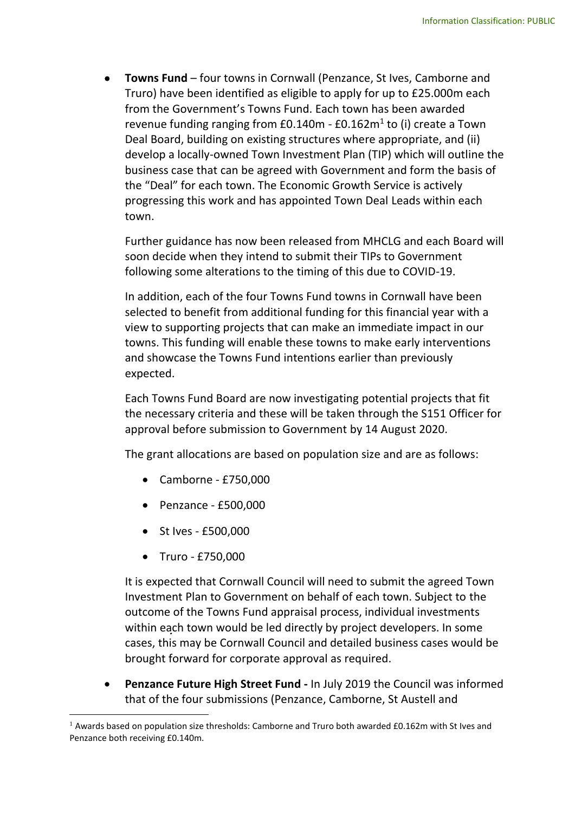**Towns Fund** – four towns in Cornwall (Penzance, St Ives, Camborne and Truro) have been identified as eligible to apply for up to £25.000m each from the Government's Towns Fund. Each town has been awarded revenue funding ranging from £0.140m - £0.162m<sup>1</sup> to (i) create a Town Deal Board, building on existing structures where appropriate, and (ii) develop a locally-owned Town Investment Plan (TIP) which will outline the business case that can be agreed with Government and form the basis of the "Deal" for each town. The Economic Growth Service is actively progressing this work and has appointed Town Deal Leads within each town.

Further guidance has now been released from MHCLG and each Board will soon decide when they intend to submit their TIPs to Government following some alterations to the timing of this due to COVID-19.

In addition, each of the four Towns Fund towns in Cornwall have been selected to benefit from additional funding for this financial year with a view to supporting projects that can make an immediate impact in our towns. This funding will enable these towns to make early interventions and showcase the Towns Fund intentions earlier than previously expected.

Each Towns Fund Board are now investigating potential projects that fit the necessary criteria and these will be taken through the S151 Officer for approval before submission to Government by 14 August 2020.

The grant allocations are based on population size and are as follows:

- Camborne £750,000
- $\bullet$  Penzance £500,000
- St Ives £500,000
- Truro £750,000

1

It is expected that Cornwall Council will need to submit the agreed Town Investment Plan to Government on behalf of each town. Subject to the outcome of the Towns Fund appraisal process, individual investments within each town would be led directly by project developers. In some cases, this may be Cornwall Council and detailed business cases would be brought forward for corporate approval as required.

 **Penzance Future High Street Fund -** In July 2019 the Council was informed that of the four submissions (Penzance, Camborne, St Austell and

 $1$  Awards based on population size thresholds: Camborne and Truro both awarded £0.162m with St Ives and Penzance both receiving £0.140m.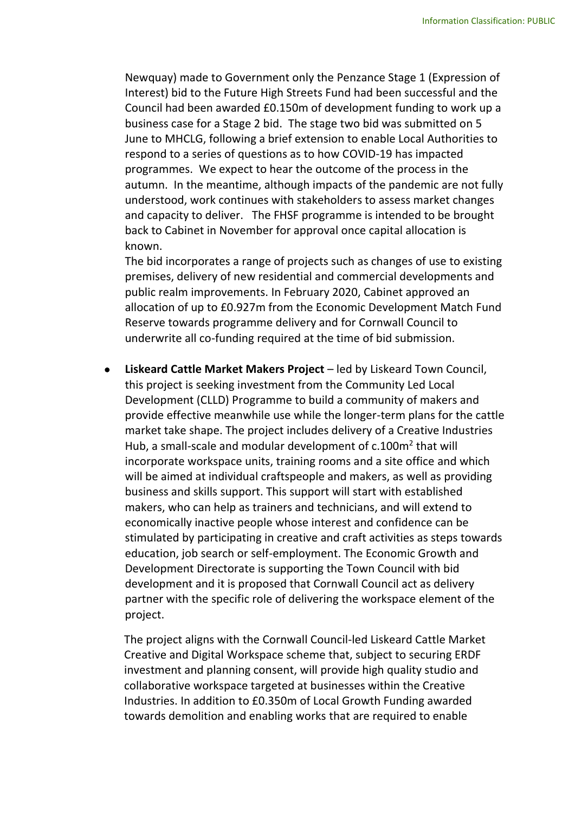Newquay) made to Government only the Penzance Stage 1 (Expression of Interest) bid to the Future High Streets Fund had been successful and the Council had been awarded £0.150m of development funding to work up a business case for a Stage 2 bid. The stage two bid was submitted on 5 June to MHCLG, following a brief extension to enable Local Authorities to respond to a series of questions as to how COVID-19 has impacted programmes. We expect to hear the outcome of the process in the autumn. In the meantime, although impacts of the pandemic are not fully understood, work continues with stakeholders to assess market changes and capacity to deliver. The FHSF programme is intended to be brought back to Cabinet in November for approval once capital allocation is known.

The bid incorporates a range of projects such as changes of use to existing premises, delivery of new residential and commercial developments and public realm improvements. In February 2020, Cabinet approved an allocation of up to £0.927m from the Economic Development Match Fund Reserve towards programme delivery and for Cornwall Council to underwrite all co-funding required at the time of bid submission.

 **Liskeard Cattle Market Makers Project** – led by Liskeard Town Council, this project is seeking investment from the Community Led Local Development (CLLD) Programme to build a community of makers and provide effective meanwhile use while the longer-term plans for the cattle market take shape. The project includes delivery of a Creative Industries Hub, a small-scale and modular development of c.100m<sup>2</sup> that will incorporate workspace units, training rooms and a site office and which will be aimed at individual craftspeople and makers, as well as providing business and skills support. This support will start with established makers, who can help as trainers and technicians, and will extend to economically inactive people whose interest and confidence can be stimulated by participating in creative and craft activities as steps towards education, job search or self-employment. The Economic Growth and Development Directorate is supporting the Town Council with bid development and it is proposed that Cornwall Council act as delivery partner with the specific role of delivering the workspace element of the project.

The project aligns with the Cornwall Council-led Liskeard Cattle Market Creative and Digital Workspace scheme that, subject to securing ERDF investment and planning consent, will provide high quality studio and collaborative workspace targeted at businesses within the Creative Industries. In addition to £0.350m of Local Growth Funding awarded towards demolition and enabling works that are required to enable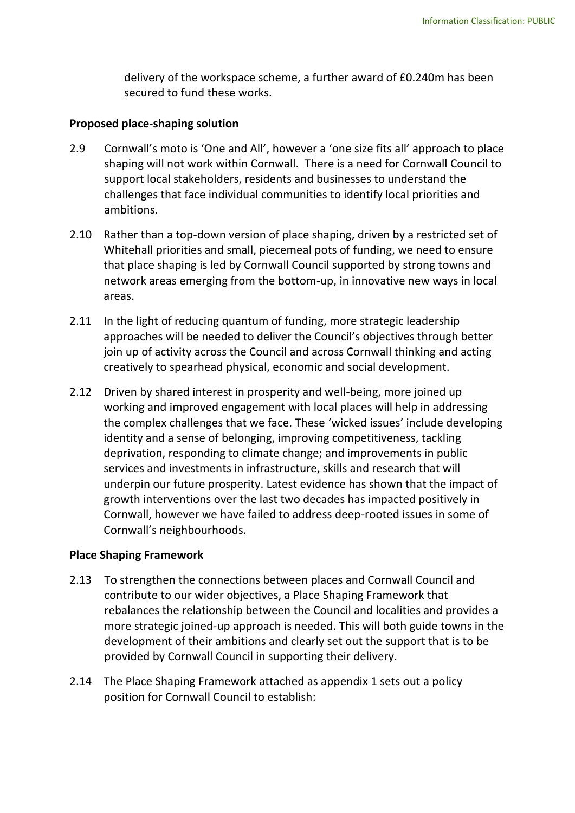delivery of the workspace scheme, a further award of £0.240m has been secured to fund these works.

## **Proposed place-shaping solution**

- 2.9 Cornwall's moto is 'One and All', however a 'one size fits all' approach to place shaping will not work within Cornwall. There is a need for Cornwall Council to support local stakeholders, residents and businesses to understand the challenges that face individual communities to identify local priorities and ambitions.
- 2.10 Rather than a top-down version of place shaping, driven by a restricted set of Whitehall priorities and small, piecemeal pots of funding, we need to ensure that place shaping is led by Cornwall Council supported by strong towns and network areas emerging from the bottom-up, in innovative new ways in local areas.
- 2.11 In the light of reducing quantum of funding, more strategic leadership approaches will be needed to deliver the Council's objectives through better join up of activity across the Council and across Cornwall thinking and acting creatively to spearhead physical, economic and social development.
- 2.12 Driven by shared interest in prosperity and well-being, more joined up working and improved engagement with local places will help in addressing the complex challenges that we face. These 'wicked issues' include developing identity and a sense of belonging, improving competitiveness, tackling deprivation, responding to climate change; and improvements in public services and investments in infrastructure, skills and research that will underpin our future prosperity. Latest evidence has shown that the impact of growth interventions over the last two decades has impacted positively in Cornwall, however we have failed to address deep-rooted issues in some of Cornwall's neighbourhoods.

## **Place Shaping Framework**

- 2.13 To strengthen the connections between places and Cornwall Council and contribute to our wider objectives, a Place Shaping Framework that rebalances the relationship between the Council and localities and provides a more strategic joined-up approach is needed. This will both guide towns in the development of their ambitions and clearly set out the support that is to be provided by Cornwall Council in supporting their delivery.
- 2.14 The Place Shaping Framework attached as appendix 1 sets out a policy position for Cornwall Council to establish: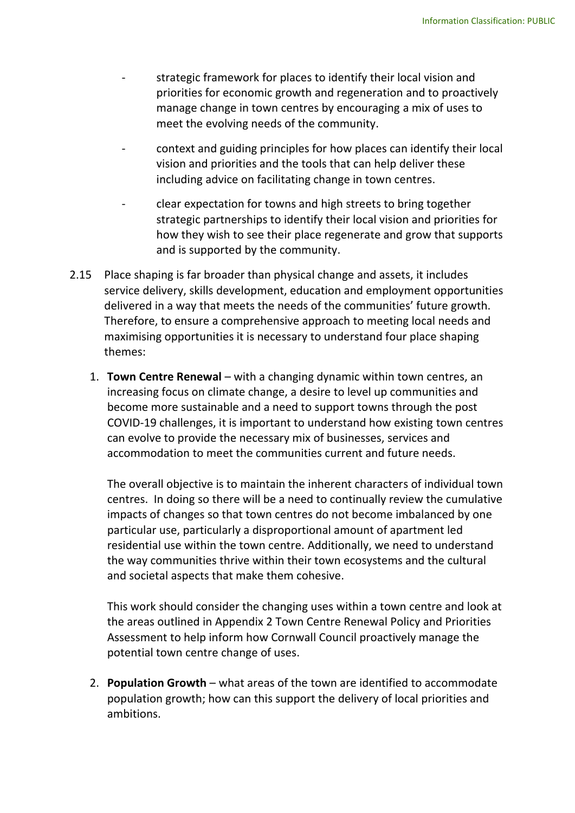- strategic framework for places to identify their local vision and priorities for economic growth and regeneration and to proactively manage change in town centres by encouraging a mix of uses to meet the evolving needs of the community.
- context and guiding principles for how places can identify their local vision and priorities and the tools that can help deliver these including advice on facilitating change in town centres.
- clear expectation for towns and high streets to bring together strategic partnerships to identify their local vision and priorities for how they wish to see their place regenerate and grow that supports and is supported by the community.
- 2.15 Place shaping is far broader than physical change and assets, it includes service delivery, skills development, education and employment opportunities delivered in a way that meets the needs of the communities' future growth. Therefore, to ensure a comprehensive approach to meeting local needs and maximising opportunities it is necessary to understand four place shaping themes:
	- 1. **Town Centre Renewal** with a changing dynamic within town centres, an increasing focus on climate change, a desire to level up communities and become more sustainable and a need to support towns through the post COVID-19 challenges, it is important to understand how existing town centres can evolve to provide the necessary mix of businesses, services and accommodation to meet the communities current and future needs.

The overall objective is to maintain the inherent characters of individual town centres. In doing so there will be a need to continually review the cumulative impacts of changes so that town centres do not become imbalanced by one particular use, particularly a disproportional amount of apartment led residential use within the town centre. Additionally, we need to understand the way communities thrive within their town ecosystems and the cultural and societal aspects that make them cohesive.

This work should consider the changing uses within a town centre and look at the areas outlined in Appendix 2 Town Centre Renewal Policy and Priorities Assessment to help inform how Cornwall Council proactively manage the potential town centre change of uses.

2. **Population Growth** – what areas of the town are identified to accommodate population growth; how can this support the delivery of local priorities and ambitions.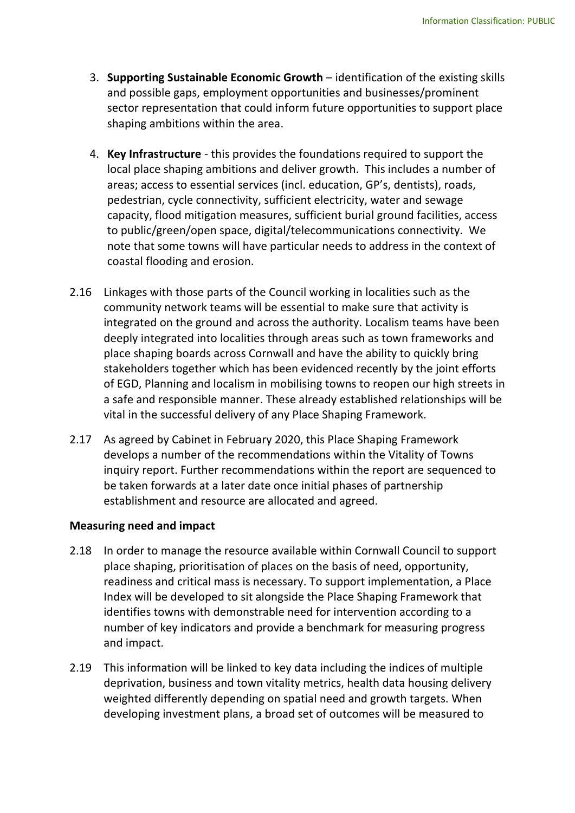- 3. **Supporting Sustainable Economic Growth**  identification of the existing skills and possible gaps, employment opportunities and businesses/prominent sector representation that could inform future opportunities to support place shaping ambitions within the area.
- 4. **Key Infrastructure** this provides the foundations required to support the local place shaping ambitions and deliver growth. This includes a number of areas; access to essential services (incl. education, GP's, dentists), roads, pedestrian, cycle connectivity, sufficient electricity, water and sewage capacity, flood mitigation measures, sufficient burial ground facilities, access to public/green/open space, digital/telecommunications connectivity. We note that some towns will have particular needs to address in the context of coastal flooding and erosion.
- 2.16 Linkages with those parts of the Council working in localities such as the community network teams will be essential to make sure that activity is integrated on the ground and across the authority. Localism teams have been deeply integrated into localities through areas such as town frameworks and place shaping boards across Cornwall and have the ability to quickly bring stakeholders together which has been evidenced recently by the joint efforts of EGD, Planning and localism in mobilising towns to reopen our high streets in a safe and responsible manner. These already established relationships will be vital in the successful delivery of any Place Shaping Framework.
- 2.17 As agreed by Cabinet in February 2020, this Place Shaping Framework develops a number of the recommendations within the Vitality of Towns inquiry report. Further recommendations within the report are sequenced to be taken forwards at a later date once initial phases of partnership establishment and resource are allocated and agreed.

## **Measuring need and impact**

- 2.18 In order to manage the resource available within Cornwall Council to support place shaping, prioritisation of places on the basis of need, opportunity, readiness and critical mass is necessary. To support implementation, a Place Index will be developed to sit alongside the Place Shaping Framework that identifies towns with demonstrable need for intervention according to a number of key indicators and provide a benchmark for measuring progress and impact.
- 2.19 This information will be linked to key data including the indices of multiple deprivation, business and town vitality metrics, health data housing delivery weighted differently depending on spatial need and growth targets. When developing investment plans, a broad set of outcomes will be measured to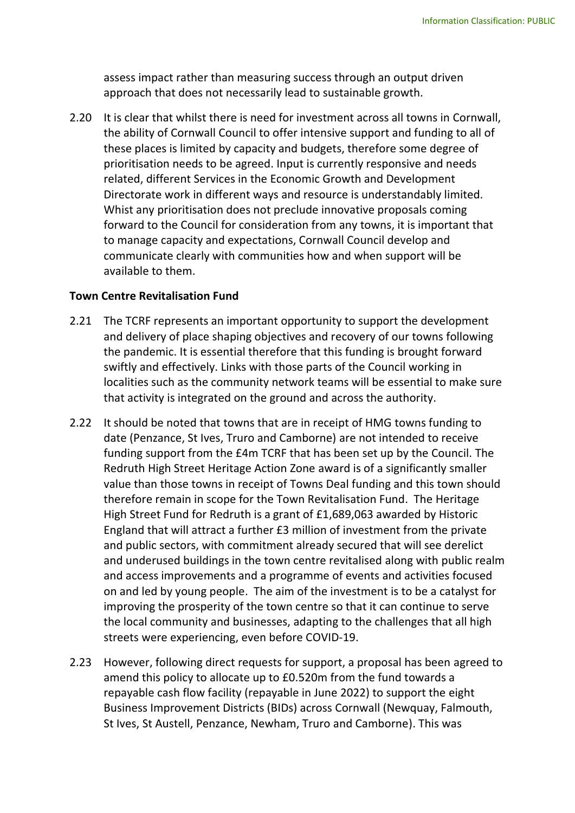assess impact rather than measuring success through an output driven approach that does not necessarily lead to sustainable growth.

2.20 It is clear that whilst there is need for investment across all towns in Cornwall, the ability of Cornwall Council to offer intensive support and funding to all of these places is limited by capacity and budgets, therefore some degree of prioritisation needs to be agreed. Input is currently responsive and needs related, different Services in the Economic Growth and Development Directorate work in different ways and resource is understandably limited. Whist any prioritisation does not preclude innovative proposals coming forward to the Council for consideration from any towns, it is important that to manage capacity and expectations, Cornwall Council develop and communicate clearly with communities how and when support will be available to them.

#### **Town Centre Revitalisation Fund**

- 2.21 The TCRF represents an important opportunity to support the development and delivery of place shaping objectives and recovery of our towns following the pandemic. It is essential therefore that this funding is brought forward swiftly and effectively. Links with those parts of the Council working in localities such as the community network teams will be essential to make sure that activity is integrated on the ground and across the authority.
- 2.22 It should be noted that towns that are in receipt of HMG towns funding to date (Penzance, St Ives, Truro and Camborne) are not intended to receive funding support from the £4m TCRF that has been set up by the Council. The Redruth High Street Heritage Action Zone award is of a significantly smaller value than those towns in receipt of Towns Deal funding and this town should therefore remain in scope for the Town Revitalisation Fund. The Heritage High Street Fund for Redruth is a grant of £1,689,063 awarded by Historic England that will attract a further £3 million of investment from the private and public sectors, with commitment already secured that will see derelict and underused buildings in the town centre revitalised along with public realm and access improvements and a programme of events and activities focused on and led by young people. The aim of the investment is to be a catalyst for improving the prosperity of the town centre so that it can continue to serve the local community and businesses, adapting to the challenges that all high streets were experiencing, even before COVID-19.
- 2.23 However, following direct requests for support, a proposal has been agreed to amend this policy to allocate up to £0.520m from the fund towards a repayable cash flow facility (repayable in June 2022) to support the eight Business Improvement Districts (BIDs) across Cornwall (Newquay, Falmouth, St Ives, St Austell, Penzance, Newham, Truro and Camborne). This was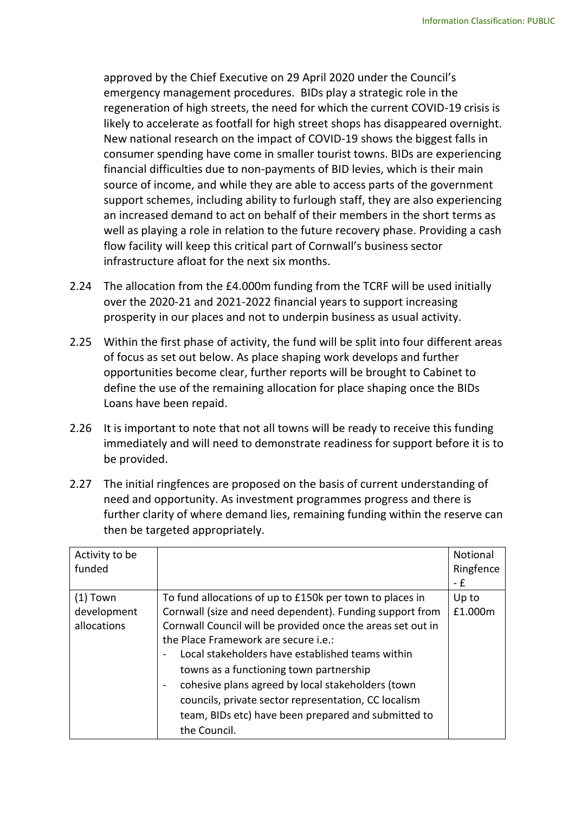approved by the Chief Executive on 29 April 2020 under the Council's emergency management procedures. BIDs play a strategic role in the regeneration of high streets, the need for which the current COVID-19 crisis is likely to accelerate as footfall for high street shops has disappeared overnight. New national research on the impact of COVID-19 shows the biggest falls in consumer spending have come in smaller tourist towns. BIDs are experiencing financial difficulties due to non-payments of BID levies, which is their main source of income, and while they are able to access parts of the government support schemes, including ability to furlough staff, they are also experiencing an increased demand to act on behalf of their members in the short terms as well as playing a role in relation to the future recovery phase. Providing a cash flow facility will keep this critical part of Cornwall's business sector infrastructure afloat for the next six months.

- 2.24 The allocation from the £4.000m funding from the TCRF will be used initially over the 2020-21 and 2021-2022 financial years to support increasing prosperity in our places and not to underpin business as usual activity.
- 2.25 Within the first phase of activity, the fund will be split into four different areas of focus as set out below. As place shaping work develops and further opportunities become clear, further reports will be brought to Cabinet to define the use of the remaining allocation for place shaping once the BIDs Loans have been repaid.
- 2.26 It is important to note that not all towns will be ready to receive this funding immediately and will need to demonstrate readiness for support before it is to be provided.
- 2.27 The initial ringfences are proposed on the basis of current understanding of need and opportunity. As investment programmes progress and there is further clarity of where demand lies, remaining funding within the reserve can then be targeted appropriately.

| Activity to be<br>funded |                                                             | Notional<br>Ringfence<br>- £ |
|--------------------------|-------------------------------------------------------------|------------------------------|
| $(1)$ Town               | To fund allocations of up to £150k per town to places in    | Up to                        |
| development              | Cornwall (size and need dependent). Funding support from    | £1.000m                      |
| allocations              | Cornwall Council will be provided once the areas set out in |                              |
|                          | the Place Framework are secure <i>i.e.</i> :                |                              |
|                          | Local stakeholders have established teams within            |                              |
|                          | towns as a functioning town partnership                     |                              |
|                          | cohesive plans agreed by local stakeholders (town           |                              |
|                          | councils, private sector representation, CC localism        |                              |
|                          | team, BIDs etc) have been prepared and submitted to         |                              |
|                          | the Council.                                                |                              |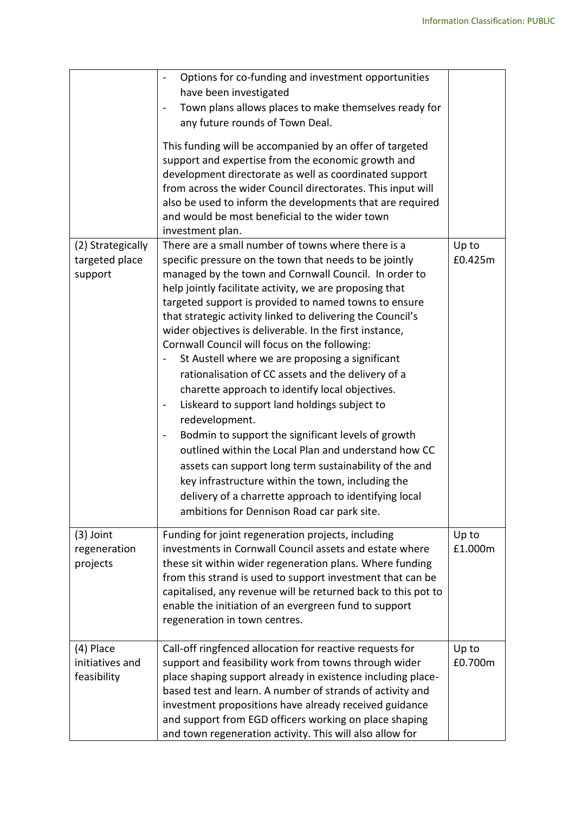|                                                | Options for co-funding and investment opportunities<br>$\qquad \qquad \blacksquare$<br>have been investigated<br>Town plans allows places to make themselves ready for<br>any future rounds of Town Deal.<br>This funding will be accompanied by an offer of targeted<br>support and expertise from the economic growth and<br>development directorate as well as coordinated support<br>from across the wider Council directorates. This input will<br>also be used to inform the developments that are required<br>and would be most beneficial to the wider town<br>investment plan.                                                                                                                                                                                                                                                                                                                                                                                                                                                                                    |                  |
|------------------------------------------------|----------------------------------------------------------------------------------------------------------------------------------------------------------------------------------------------------------------------------------------------------------------------------------------------------------------------------------------------------------------------------------------------------------------------------------------------------------------------------------------------------------------------------------------------------------------------------------------------------------------------------------------------------------------------------------------------------------------------------------------------------------------------------------------------------------------------------------------------------------------------------------------------------------------------------------------------------------------------------------------------------------------------------------------------------------------------------|------------------|
| (2) Strategically<br>targeted place<br>support | There are a small number of towns where there is a<br>specific pressure on the town that needs to be jointly<br>managed by the town and Cornwall Council. In order to<br>help jointly facilitate activity, we are proposing that<br>targeted support is provided to named towns to ensure<br>that strategic activity linked to delivering the Council's<br>wider objectives is deliverable. In the first instance,<br>Cornwall Council will focus on the following:<br>St Austell where we are proposing a significant<br>rationalisation of CC assets and the delivery of a<br>charette approach to identify local objectives.<br>Liskeard to support land holdings subject to<br>-<br>redevelopment.<br>Bodmin to support the significant levels of growth<br>$\qquad \qquad \blacksquare$<br>outlined within the Local Plan and understand how CC<br>assets can support long term sustainability of the and<br>key infrastructure within the town, including the<br>delivery of a charrette approach to identifying local<br>ambitions for Dennison Road car park site. | Up to<br>£0.425m |
| $(3)$ Joint<br>regeneration<br>projects        | Funding for joint regeneration projects, including<br>investments in Cornwall Council assets and estate where<br>these sit within wider regeneration plans. Where funding<br>from this strand is used to support investment that can be<br>capitalised, any revenue will be returned back to this pot to<br>enable the initiation of an evergreen fund to support<br>regeneration in town centres.                                                                                                                                                                                                                                                                                                                                                                                                                                                                                                                                                                                                                                                                         | Up to<br>£1.000m |
| (4) Place<br>initiatives and<br>feasibility    | Call-off ringfenced allocation for reactive requests for<br>support and feasibility work from towns through wider<br>place shaping support already in existence including place-<br>based test and learn. A number of strands of activity and<br>investment propositions have already received guidance<br>and support from EGD officers working on place shaping<br>and town regeneration activity. This will also allow for                                                                                                                                                                                                                                                                                                                                                                                                                                                                                                                                                                                                                                              | Up to<br>£0.700m |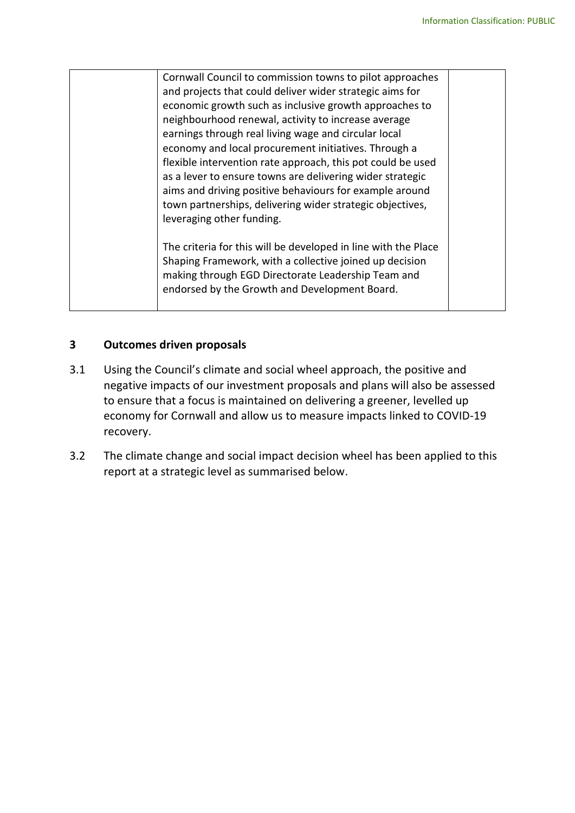| Cornwall Council to commission towns to pilot approaches<br>and projects that could deliver wider strategic aims for<br>economic growth such as inclusive growth approaches to<br>neighbourhood renewal, activity to increase average<br>earnings through real living wage and circular local<br>economy and local procurement initiatives. Through a<br>flexible intervention rate approach, this pot could be used<br>as a lever to ensure towns are delivering wider strategic<br>aims and driving positive behaviours for example around<br>town partnerships, delivering wider strategic objectives, |  |
|-----------------------------------------------------------------------------------------------------------------------------------------------------------------------------------------------------------------------------------------------------------------------------------------------------------------------------------------------------------------------------------------------------------------------------------------------------------------------------------------------------------------------------------------------------------------------------------------------------------|--|
|                                                                                                                                                                                                                                                                                                                                                                                                                                                                                                                                                                                                           |  |
| leveraging other funding.<br>The criteria for this will be developed in line with the Place<br>Shaping Framework, with a collective joined up decision<br>making through EGD Directorate Leadership Team and<br>endorsed by the Growth and Development Board.                                                                                                                                                                                                                                                                                                                                             |  |
|                                                                                                                                                                                                                                                                                                                                                                                                                                                                                                                                                                                                           |  |

## **3 Outcomes driven proposals**

- 3.1 Using the Council's climate and social wheel approach, the positive and negative impacts of our investment proposals and plans will also be assessed to ensure that a focus is maintained on delivering a greener, levelled up economy for Cornwall and allow us to measure impacts linked to COVID-19 recovery.
- 3.2 The climate change and social impact decision wheel has been applied to this report at a strategic level as summarised below.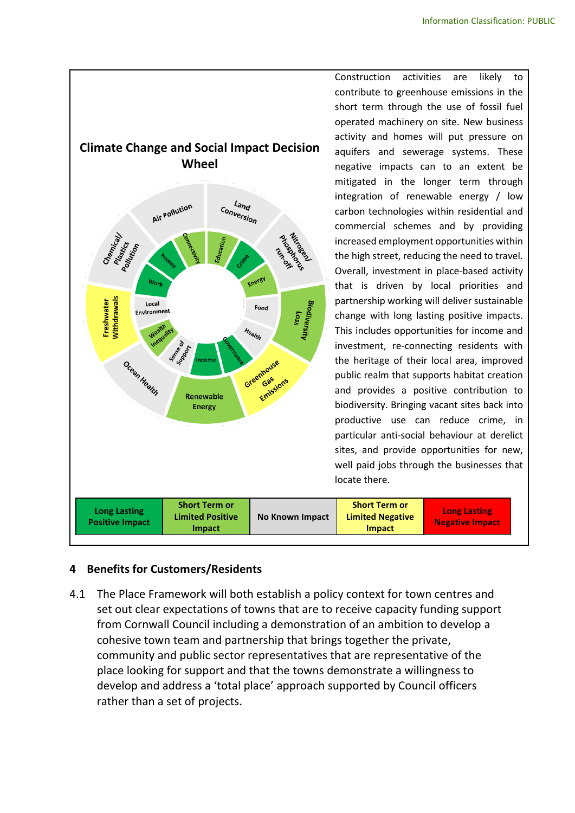

Construction activities are likely to contribute to greenhouse emissions in the short term through the use of fossil fuel operated machinery on site. New business activity and homes will put pressure on aquifers and sewerage systems. These negative impacts can to an extent be mitigated in the longer term through integration of renewable energy / low carbon technologies within residential and commercial schemes and by providing increased employment opportunities within the high street, reducing the need to travel. Overall, investment in place-based activity that is driven by local priorities and partnership working will deliver sustainable change with long lasting positive impacts. This includes opportunities for income and investment, re-connecting residents with the heritage of their local area, improved public realm that supports habitat creation and provides a positive contribution to biodiversity. Bringing vacant sites back into productive use can reduce crime, in particular anti-social behaviour at derelict sites, and provide opportunities for new, well paid jobs through the businesses that locate there.

| <b>Long Lasting</b><br><b>Positive Impact</b> | <b>Short Term or</b><br><b>Limited Positive</b><br><b>Impact</b> | No Known Impact | <b>Short Term or</b><br><b>Limited Negative</b><br><b>Impact</b> | <b>Long Lasting</b><br><b>Negative Impact</b> |
|-----------------------------------------------|------------------------------------------------------------------|-----------------|------------------------------------------------------------------|-----------------------------------------------|
|-----------------------------------------------|------------------------------------------------------------------|-----------------|------------------------------------------------------------------|-----------------------------------------------|

## **4 Benefits for Customers/Residents**

4.1 The Place Framework will both establish a policy context for town centres and set out clear expectations of towns that are to receive capacity funding support from Cornwall Council including a demonstration of an ambition to develop a cohesive town team and partnership that brings together the private, community and public sector representatives that are representative of the place looking for support and that the towns demonstrate a willingness to develop and address a 'total place' approach supported by Council officers rather than a set of projects.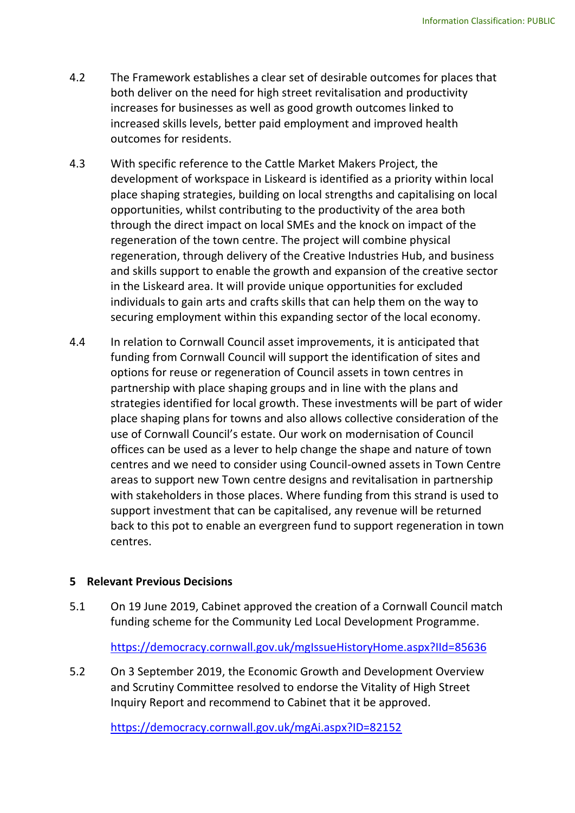- 4.2 The Framework establishes a clear set of desirable outcomes for places that both deliver on the need for high street revitalisation and productivity increases for businesses as well as good growth outcomes linked to increased skills levels, better paid employment and improved health outcomes for residents.
- 4.3 With specific reference to the Cattle Market Makers Project, the development of workspace in Liskeard is identified as a priority within local place shaping strategies, building on local strengths and capitalising on local opportunities, whilst contributing to the productivity of the area both through the direct impact on local SMEs and the knock on impact of the regeneration of the town centre. The project will combine physical regeneration, through delivery of the Creative Industries Hub, and business and skills support to enable the growth and expansion of the creative sector in the Liskeard area. It will provide unique opportunities for excluded individuals to gain arts and crafts skills that can help them on the way to securing employment within this expanding sector of the local economy.
- 4.4 In relation to Cornwall Council asset improvements, it is anticipated that funding from Cornwall Council will support the identification of sites and options for reuse or regeneration of Council assets in town centres in partnership with place shaping groups and in line with the plans and strategies identified for local growth. These investments will be part of wider place shaping plans for towns and also allows collective consideration of the use of Cornwall Council's estate. Our work on modernisation of Council offices can be used as a lever to help change the shape and nature of town centres and we need to consider using Council-owned assets in Town Centre areas to support new Town centre designs and revitalisation in partnership with stakeholders in those places. Where funding from this strand is used to support investment that can be capitalised, any revenue will be returned back to this pot to enable an evergreen fund to support regeneration in town centres.

## **5 Relevant Previous Decisions**

5.1 On 19 June 2019, Cabinet approved the creation of a Cornwall Council match funding scheme for the Community Led Local Development Programme.

<https://democracy.cornwall.gov.uk/mgIssueHistoryHome.aspx?IId=85636>

5.2 On 3 September 2019, the Economic Growth and Development Overview and Scrutiny Committee resolved to endorse the Vitality of High Street Inquiry Report and recommend to Cabinet that it be approved.

<https://democracy.cornwall.gov.uk/mgAi.aspx?ID=82152>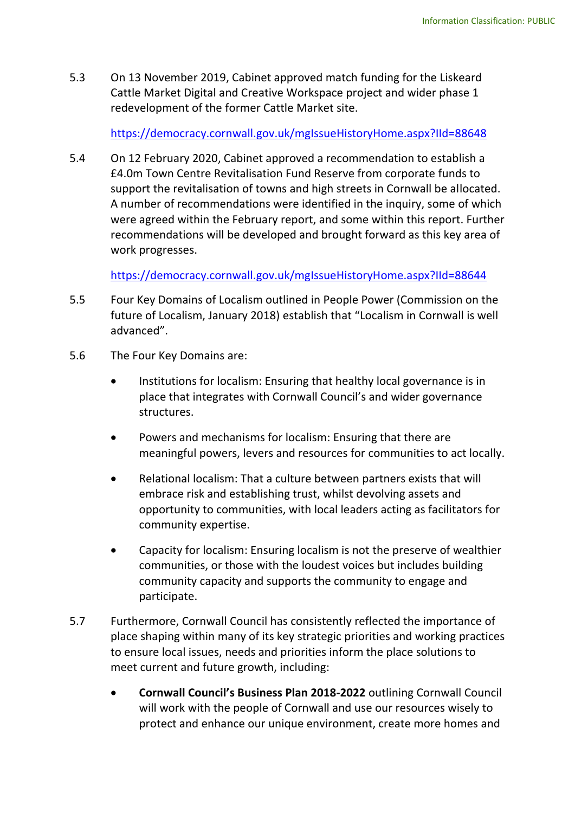5.3 On 13 November 2019, Cabinet approved match funding for the Liskeard Cattle Market Digital and Creative Workspace project and wider phase 1 redevelopment of the former Cattle Market site.

https://democracy.cornwall.gov.uk/mgIssueHistoryHome.aspx?IId=88648

5.4 On 12 February 2020, Cabinet approved a recommendation to establish a £4.0m Town Centre Revitalisation Fund Reserve from corporate funds to support the revitalisation of towns and high streets in Cornwall be allocated. A number of recommendations were identified in the inquiry, some of which were agreed within the February report, and some within this report. Further recommendations will be developed and brought forward as this key area of work progresses.

<https://democracy.cornwall.gov.uk/mgIssueHistoryHome.aspx?IId=88644>

- 5.5 Four Key Domains of Localism outlined in People Power (Commission on the future of Localism, January 2018) establish that "Localism in Cornwall is well advanced".
- 5.6 The Four Key Domains are:
	- Institutions for localism: Ensuring that healthy local governance is in place that integrates with Cornwall Council's and wider governance structures.
	- Powers and mechanisms for localism: Ensuring that there are meaningful powers, levers and resources for communities to act locally.
	- Relational localism: That a culture between partners exists that will embrace risk and establishing trust, whilst devolving assets and opportunity to communities, with local leaders acting as facilitators for community expertise.
	- Capacity for localism: Ensuring localism is not the preserve of wealthier communities, or those with the loudest voices but includes building community capacity and supports the community to engage and participate.
- 5.7 Furthermore, Cornwall Council has consistently reflected the importance of place shaping within many of its key strategic priorities and working practices to ensure local issues, needs and priorities inform the place solutions to meet current and future growth, including:
	- **Cornwall Council's Business Plan 2018-2022** outlining Cornwall Council will work with the people of Cornwall and use our resources wisely to protect and enhance our unique environment, create more homes and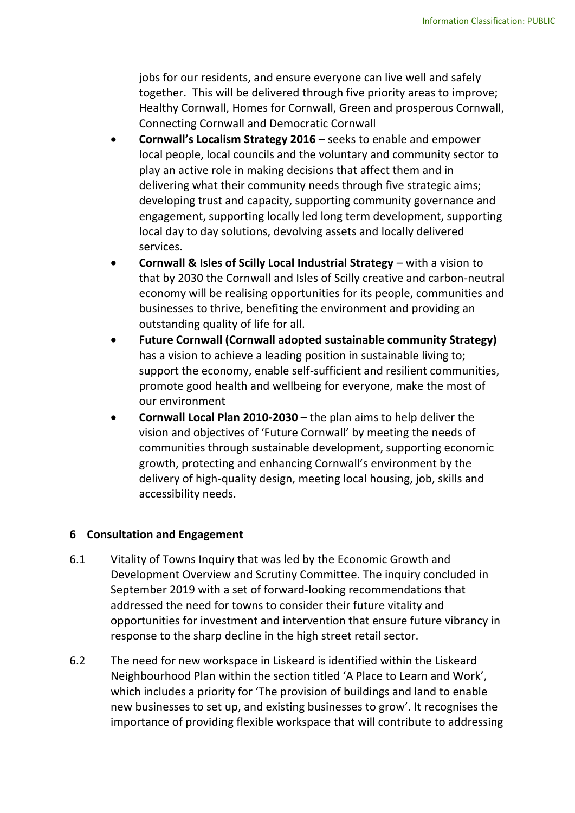jobs for our residents, and ensure everyone can live well and safely together. This will be delivered through five priority areas to improve; Healthy Cornwall, Homes for Cornwall, Green and prosperous Cornwall, Connecting Cornwall and Democratic Cornwall

- **Cornwall's Localism Strategy 2016** seeks to enable and empower local people, local councils and the voluntary and community sector to play an active role in making decisions that affect them and in delivering what their community needs through five strategic aims; developing trust and capacity, supporting community governance and engagement, supporting locally led long term development, supporting local day to day solutions, devolving assets and locally delivered services.
- **Cornwall & Isles of Scilly Local Industrial Strategy** with a vision to that by 2030 the Cornwall and Isles of Scilly creative and carbon-neutral economy will be realising opportunities for its people, communities and businesses to thrive, benefiting the environment and providing an outstanding quality of life for all.
- **Future Cornwall (Cornwall adopted sustainable community Strategy)** has a vision to achieve a leading position in sustainable living to; support the economy, enable self-sufficient and resilient communities, promote good health and wellbeing for everyone, make the most of our environment
- **Cornwall Local Plan 2010-2030** the plan aims to help deliver the vision and objectives of 'Future Cornwall' by meeting the needs of communities through sustainable development, supporting economic growth, protecting and enhancing Cornwall's environment by the delivery of high-quality design, meeting local housing, job, skills and accessibility needs.

## **6 Consultation and Engagement**

- 6.1 Vitality of Towns Inquiry that was led by the Economic Growth and Development Overview and Scrutiny Committee. The inquiry concluded in September 2019 with a set of forward-looking recommendations that addressed the need for towns to consider their future vitality and opportunities for investment and intervention that ensure future vibrancy in response to the sharp decline in the high street retail sector.
- 6.2 The need for new workspace in Liskeard is identified within the Liskeard Neighbourhood Plan within the section titled 'A Place to Learn and Work', which includes a priority for 'The provision of buildings and land to enable new businesses to set up, and existing businesses to grow'. It recognises the importance of providing flexible workspace that will contribute to addressing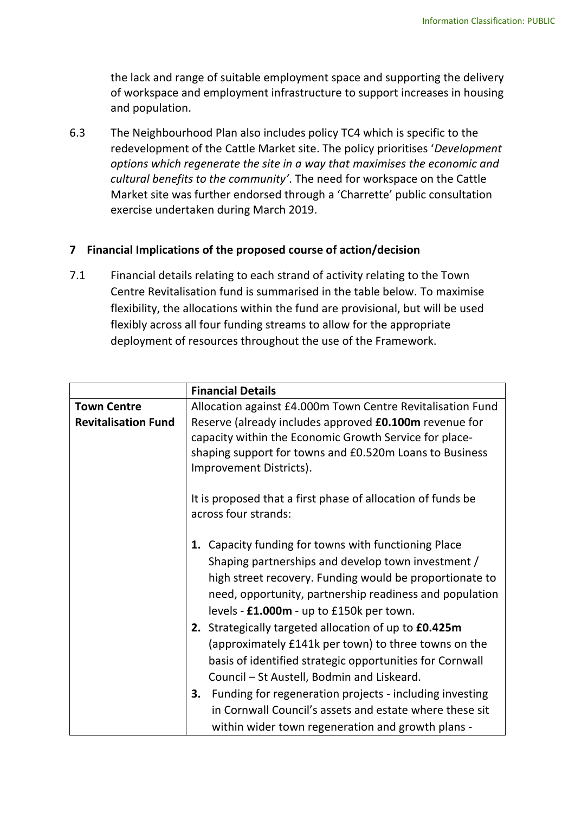the lack and range of suitable employment space and supporting the delivery of workspace and employment infrastructure to support increases in housing and population.

6.3 The Neighbourhood Plan also includes policy TC4 which is specific to the redevelopment of the Cattle Market site. The policy prioritises '*Development options which regenerate the site in a way that maximises the economic and cultural benefits to the community'*. The need for workspace on the Cattle Market site was further endorsed through a 'Charrette' public consultation exercise undertaken during March 2019.

## **7 Financial Implications of the proposed course of action/decision**

7.1 Financial details relating to each strand of activity relating to the Town Centre Revitalisation fund is summarised in the table below. To maximise flexibility, the allocations within the fund are provisional, but will be used flexibly across all four funding streams to allow for the appropriate deployment of resources throughout the use of the Framework.

|                            | <b>Financial Details</b>                                      |  |  |
|----------------------------|---------------------------------------------------------------|--|--|
| <b>Town Centre</b>         | Allocation against £4.000m Town Centre Revitalisation Fund    |  |  |
| <b>Revitalisation Fund</b> | Reserve (already includes approved <b>£0.100m</b> revenue for |  |  |
|                            | capacity within the Economic Growth Service for place-        |  |  |
|                            | shaping support for towns and £0.520m Loans to Business       |  |  |
|                            | Improvement Districts).                                       |  |  |
|                            |                                                               |  |  |
|                            | It is proposed that a first phase of allocation of funds be   |  |  |
|                            | across four strands:                                          |  |  |
|                            |                                                               |  |  |
|                            | 1. Capacity funding for towns with functioning Place          |  |  |
|                            | Shaping partnerships and develop town investment /            |  |  |
|                            | high street recovery. Funding would be proportionate to       |  |  |
|                            | need, opportunity, partnership readiness and population       |  |  |
|                            | levels - £1.000m - up to £150k per town.                      |  |  |
|                            | 2. Strategically targeted allocation of up to £0.425m         |  |  |
|                            | (approximately £141k per town) to three towns on the          |  |  |
|                            | basis of identified strategic opportunities for Cornwall      |  |  |
|                            | Council - St Austell, Bodmin and Liskeard.                    |  |  |
|                            | Funding for regeneration projects - including investing<br>3. |  |  |
|                            | in Cornwall Council's assets and estate where these sit       |  |  |
|                            | within wider town regeneration and growth plans -             |  |  |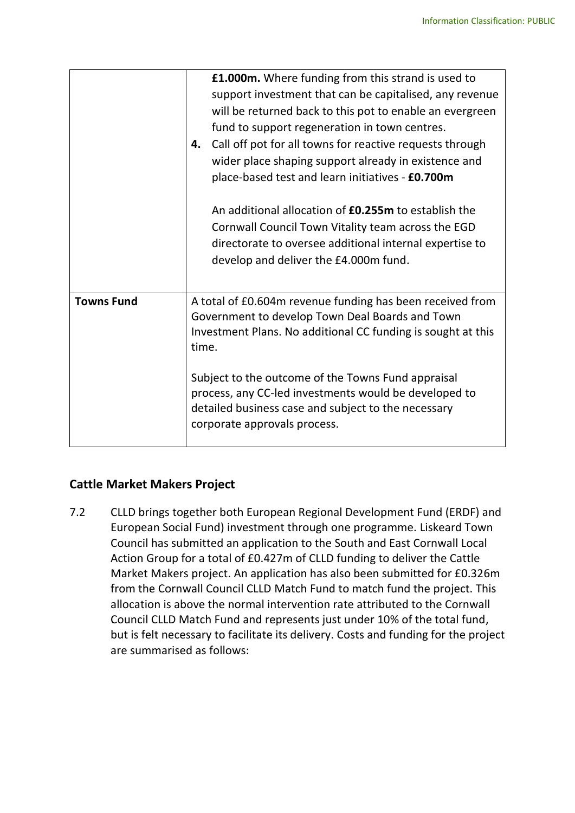|                   | <b>£1.000m.</b> Where funding from this strand is used to<br>support investment that can be capitalised, any revenue<br>will be returned back to this pot to enable an evergreen<br>fund to support regeneration in town centres.<br>Call off pot for all towns for reactive requests through<br>4.<br>wider place shaping support already in existence and<br>place-based test and learn initiatives - £0.700m<br>An additional allocation of <b>£0.255m</b> to establish the<br>Cornwall Council Town Vitality team across the EGD<br>directorate to oversee additional internal expertise to<br>develop and deliver the £4.000m fund. |
|-------------------|------------------------------------------------------------------------------------------------------------------------------------------------------------------------------------------------------------------------------------------------------------------------------------------------------------------------------------------------------------------------------------------------------------------------------------------------------------------------------------------------------------------------------------------------------------------------------------------------------------------------------------------|
| <b>Towns Fund</b> | A total of £0.604m revenue funding has been received from<br>Government to develop Town Deal Boards and Town<br>Investment Plans. No additional CC funding is sought at this<br>time.<br>Subject to the outcome of the Towns Fund appraisal<br>process, any CC-led investments would be developed to<br>detailed business case and subject to the necessary<br>corporate approvals process.                                                                                                                                                                                                                                              |

## **Cattle Market Makers Project**

7.2 CLLD brings together both European Regional Development Fund (ERDF) and European Social Fund) investment through one programme. Liskeard Town Council has submitted an application to the South and East Cornwall Local Action Group for a total of £0.427m of CLLD funding to deliver the Cattle Market Makers project. An application has also been submitted for £0.326m from the Cornwall Council CLLD Match Fund to match fund the project. This allocation is above the normal intervention rate attributed to the Cornwall Council CLLD Match Fund and represents just under 10% of the total fund, but is felt necessary to facilitate its delivery. Costs and funding for the project are summarised as follows: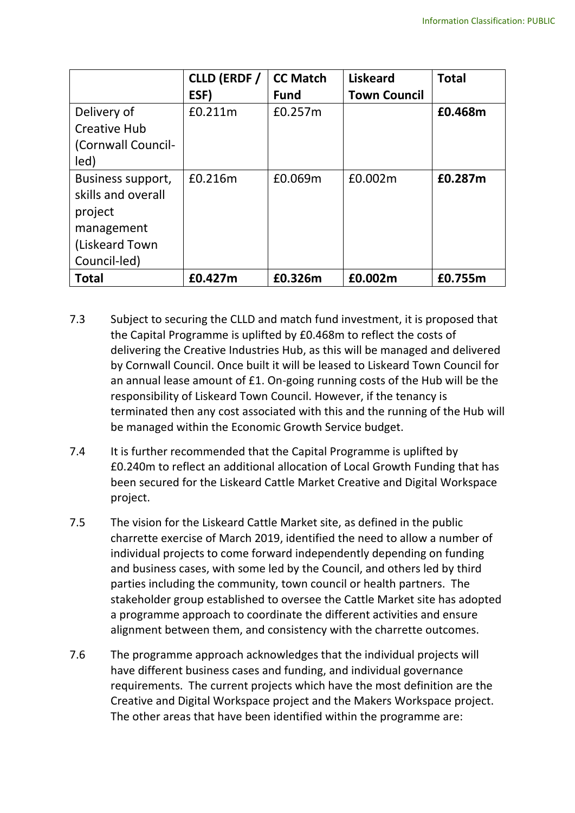|                                                                                                    | <b>CLLD (ERDF /</b><br>ESF) | <b>CC Match</b><br><b>Fund</b> | <b>Liskeard</b><br><b>Town Council</b> | <b>Total</b> |
|----------------------------------------------------------------------------------------------------|-----------------------------|--------------------------------|----------------------------------------|--------------|
| Delivery of<br><b>Creative Hub</b><br>(Cornwall Council-<br>led)                                   | £0.211m                     | £0.257m                        |                                        | £0.468m      |
| Business support,<br>skills and overall<br>project<br>management<br>(Liskeard Town<br>Council-led) | £0.216m                     | £0.069m                        | £0.002m                                | £0.287m      |
| <b>Total</b>                                                                                       | £0.427m                     | £0.326m                        | £0.002m                                | £0.755m      |

- 7.3 Subject to securing the CLLD and match fund investment, it is proposed that the Capital Programme is uplifted by £0.468m to reflect the costs of delivering the Creative Industries Hub, as this will be managed and delivered by Cornwall Council. Once built it will be leased to Liskeard Town Council for an annual lease amount of £1. On-going running costs of the Hub will be the responsibility of Liskeard Town Council. However, if the tenancy is terminated then any cost associated with this and the running of the Hub will be managed within the Economic Growth Service budget.
- 7.4 It is further recommended that the Capital Programme is uplifted by £0.240m to reflect an additional allocation of Local Growth Funding that has been secured for the Liskeard Cattle Market Creative and Digital Workspace project.
- 7.5 The vision for the Liskeard Cattle Market site, as defined in the public charrette exercise of March 2019, identified the need to allow a number of individual projects to come forward independently depending on funding and business cases, with some led by the Council, and others led by third parties including the community, town council or health partners. The stakeholder group established to oversee the Cattle Market site has adopted a programme approach to coordinate the different activities and ensure alignment between them, and consistency with the charrette outcomes.
- 7.6 The programme approach acknowledges that the individual projects will have different business cases and funding, and individual governance requirements. The current projects which have the most definition are the Creative and Digital Workspace project and the Makers Workspace project. The other areas that have been identified within the programme are: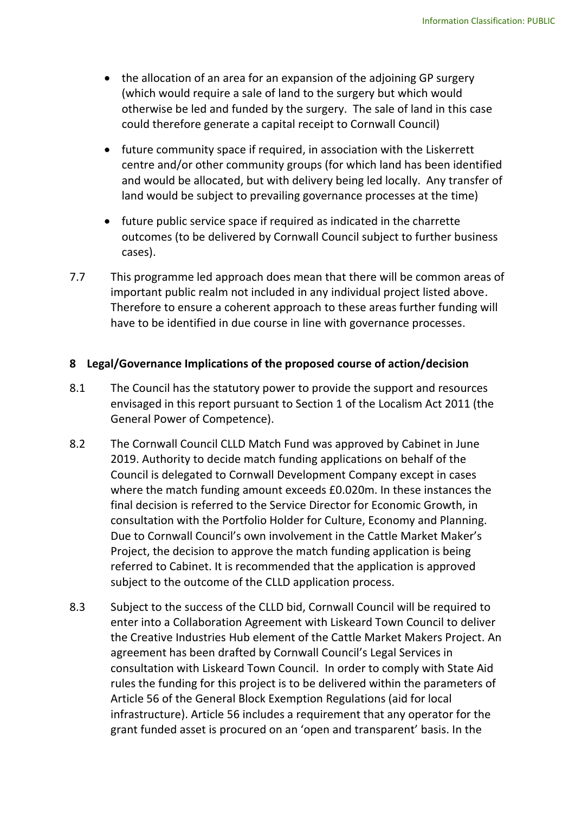- the allocation of an area for an expansion of the adjoining GP surgery (which would require a sale of land to the surgery but which would otherwise be led and funded by the surgery. The sale of land in this case could therefore generate a capital receipt to Cornwall Council)
- future community space if required, in association with the Liskerrett centre and/or other community groups (for which land has been identified and would be allocated, but with delivery being led locally. Any transfer of land would be subject to prevailing governance processes at the time)
- future public service space if required as indicated in the charrette outcomes (to be delivered by Cornwall Council subject to further business cases).
- 7.7 This programme led approach does mean that there will be common areas of important public realm not included in any individual project listed above. Therefore to ensure a coherent approach to these areas further funding will have to be identified in due course in line with governance processes.

#### **8 Legal/Governance Implications of the proposed course of action/decision**

- 8.1 The Council has the statutory power to provide the support and resources envisaged in this report pursuant to Section 1 of the Localism Act 2011 (the General Power of Competence).
- 8.2 The Cornwall Council CLLD Match Fund was approved by Cabinet in June 2019. Authority to decide match funding applications on behalf of the Council is delegated to Cornwall Development Company except in cases where the match funding amount exceeds £0.020m. In these instances the final decision is referred to the Service Director for Economic Growth, in consultation with the Portfolio Holder for Culture, Economy and Planning. Due to Cornwall Council's own involvement in the Cattle Market Maker's Project, the decision to approve the match funding application is being referred to Cabinet. It is recommended that the application is approved subject to the outcome of the CLLD application process.
- 8.3 Subject to the success of the CLLD bid, Cornwall Council will be required to enter into a Collaboration Agreement with Liskeard Town Council to deliver the Creative Industries Hub element of the Cattle Market Makers Project. An agreement has been drafted by Cornwall Council's Legal Services in consultation with Liskeard Town Council. In order to comply with State Aid rules the funding for this project is to be delivered within the parameters of Article 56 of the General Block Exemption Regulations (aid for local infrastructure). Article 56 includes a requirement that any operator for the grant funded asset is procured on an 'open and transparent' basis. In the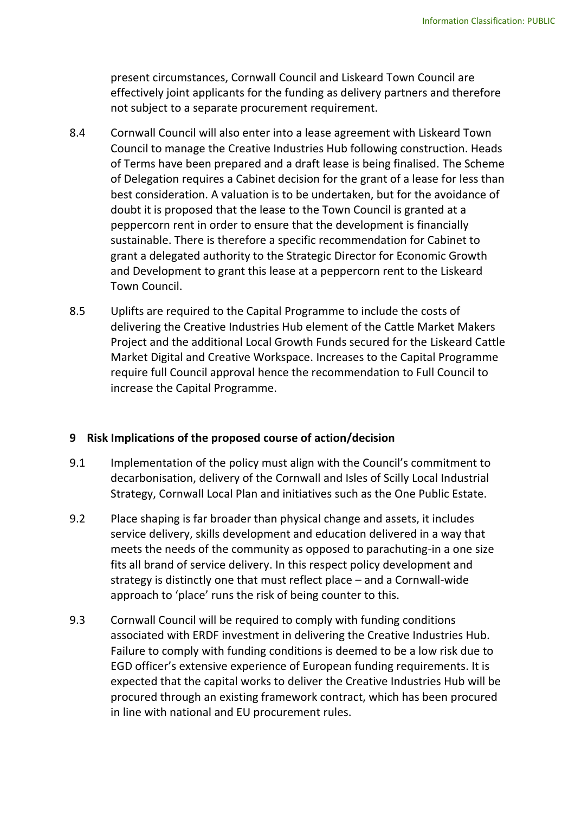present circumstances, Cornwall Council and Liskeard Town Council are effectively joint applicants for the funding as delivery partners and therefore not subject to a separate procurement requirement.

- 8.4 Cornwall Council will also enter into a lease agreement with Liskeard Town Council to manage the Creative Industries Hub following construction. Heads of Terms have been prepared and a draft lease is being finalised. The Scheme of Delegation requires a Cabinet decision for the grant of a lease for less than best consideration. A valuation is to be undertaken, but for the avoidance of doubt it is proposed that the lease to the Town Council is granted at a peppercorn rent in order to ensure that the development is financially sustainable. There is therefore a specific recommendation for Cabinet to grant a delegated authority to the Strategic Director for Economic Growth and Development to grant this lease at a peppercorn rent to the Liskeard Town Council.
- 8.5 Uplifts are required to the Capital Programme to include the costs of delivering the Creative Industries Hub element of the Cattle Market Makers Project and the additional Local Growth Funds secured for the Liskeard Cattle Market Digital and Creative Workspace. Increases to the Capital Programme require full Council approval hence the recommendation to Full Council to increase the Capital Programme.

## **9 Risk Implications of the proposed course of action/decision**

- 9.1 Implementation of the policy must align with the Council's commitment to decarbonisation, delivery of the Cornwall and Isles of Scilly Local Industrial Strategy, Cornwall Local Plan and initiatives such as the One Public Estate.
- 9.2 Place shaping is far broader than physical change and assets, it includes service delivery, skills development and education delivered in a way that meets the needs of the community as opposed to parachuting-in a one size fits all brand of service delivery. In this respect policy development and strategy is distinctly one that must reflect place – and a Cornwall-wide approach to 'place' runs the risk of being counter to this.
- 9.3 Cornwall Council will be required to comply with funding conditions associated with ERDF investment in delivering the Creative Industries Hub. Failure to comply with funding conditions is deemed to be a low risk due to EGD officer's extensive experience of European funding requirements. It is expected that the capital works to deliver the Creative Industries Hub will be procured through an existing framework contract, which has been procured in line with national and EU procurement rules.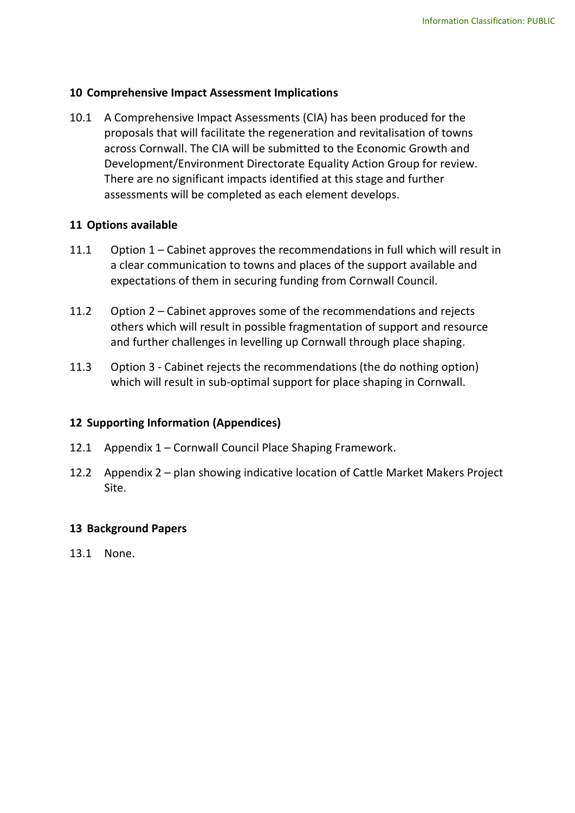## **10 Comprehensive Impact Assessment Implications**

10.1 A Comprehensive Impact Assessments (CIA) has been produced for the proposals that will facilitate the regeneration and revitalisation of towns across Cornwall. The CIA will be submitted to the Economic Growth and Development/Environment Directorate Equality Action Group for review. There are no significant impacts identified at this stage and further assessments will be completed as each element develops.

## **11 Options available**

- 11.1 Option 1 Cabinet approves the recommendations in full which will result in a clear communication to towns and places of the support available and expectations of them in securing funding from Cornwall Council.
- 11.2 Option 2 Cabinet approves some of the recommendations and rejects others which will result in possible fragmentation of support and resource and further challenges in levelling up Cornwall through place shaping.
- 11.3 Option 3 Cabinet rejects the recommendations (the do nothing option) which will result in sub-optimal support for place shaping in Cornwall.

## **12 Supporting Information (Appendices)**

- 12.1 Appendix 1 Cornwall Council Place Shaping Framework.
- 12.2 Appendix 2 plan showing indicative location of Cattle Market Makers Project Site.

## **13 Background Papers**

13.1 None.